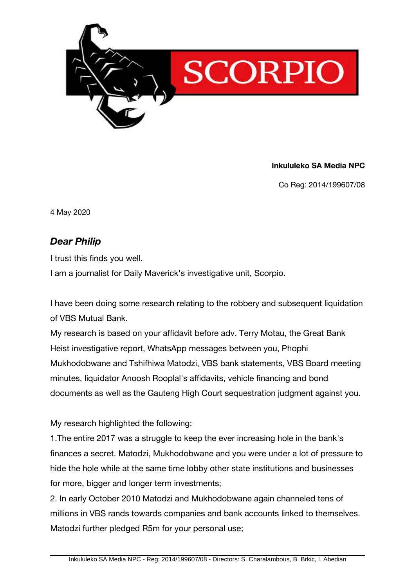

**Inkululeko SA Media NPC**

Co Reg: 2014/199607/08

4 May 2020

## *Dear Philip*

I trust this finds you well.

I am a journalist for Daily Maverick's investigative unit, Scorpio.

I have been doing some research relating to the robbery and subsequent liquidation of VBS Mutual Bank.

My research is based on your affidavit before adv. Terry Motau, the Great Bank Heist investigative report, WhatsApp messages between you, Phophi Mukhodobwane and Tshifhiwa Matodzi, VBS bank statements, VBS Board meeting minutes, liquidator Anoosh Rooplal's affidavits, vehicle financing and bond documents as well as the Gauteng High Court sequestration judgment against you.

My research highlighted the following:

1.The entire 2017 was a struggle to keep the ever increasing hole in the bank's fnances a secret. Matodzi, Mukhodobwane and you were under a lot of pressure to hide the hole while at the same time lobby other state institutions and businesses for more, bigger and longer term investments;

2. In early October 2010 Matodzi and Mukhodobwane again channeled tens of millions in VBS rands towards companies and bank accounts linked to themselves. Matodzi further pledged R5m for your personal use;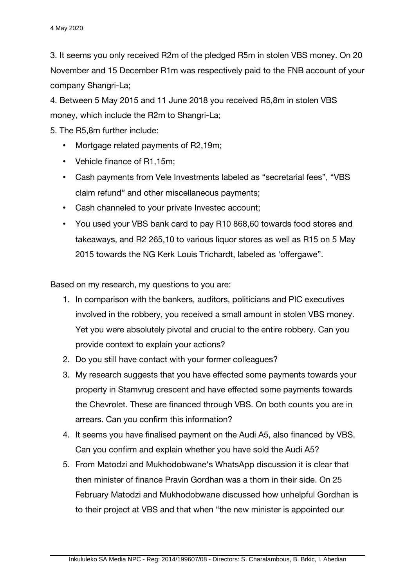3. It seems you only received R2m of the pledged R5m in stolen VBS money. On 20 November and 15 December R1m was respectively paid to the FNB account of your company Shangri-La;

4. Between 5 May 2015 and 11 June 2018 you received R5,8m in stolen VBS money, which include the R2m to Shangri-La;

5. The R5,8m further include:

- Mortgage related payments of R2,19m;
- Vehicle finance of R1,15m;
- Cash payments from Vele Investments labeled as "secretarial fees", "VBS claim refund" and other miscellaneous payments;
- Cash channeled to your private Investec account;
- You used your VBS bank card to pay R10 868,60 towards food stores and takeaways, and R2 265,10 to various liquor stores as well as R15 on 5 May 2015 towards the NG Kerk Louis Trichardt, labeled as 'ofergawe".

Based on my research, my questions to you are:

- 1. In comparison with the bankers, auditors, politicians and PIC executives involved in the robbery, you received a small amount in stolen VBS money. Yet you were absolutely pivotal and crucial to the entire robbery. Can you provide context to explain your actions?
- 2. Do you still have contact with your former colleagues?
- 3. My research suggests that you have efected some payments towards your property in Stamvrug crescent and have efected some payments towards the Chevrolet. These are fnanced through VBS. On both counts you are in arrears. Can you confirm this information?
- 4. It seems you have fnalised payment on the Audi A5, also fnanced by VBS. Can you confrm and explain whether you have sold the Audi A5?
- 5. From Matodzi and Mukhodobwane's WhatsApp discussion it is clear that then minister of finance Pravin Gordhan was a thorn in their side. On 25 February Matodzi and Mukhodobwane discussed how unhelpful Gordhan is to their project at VBS and that when "the new minister is appointed our